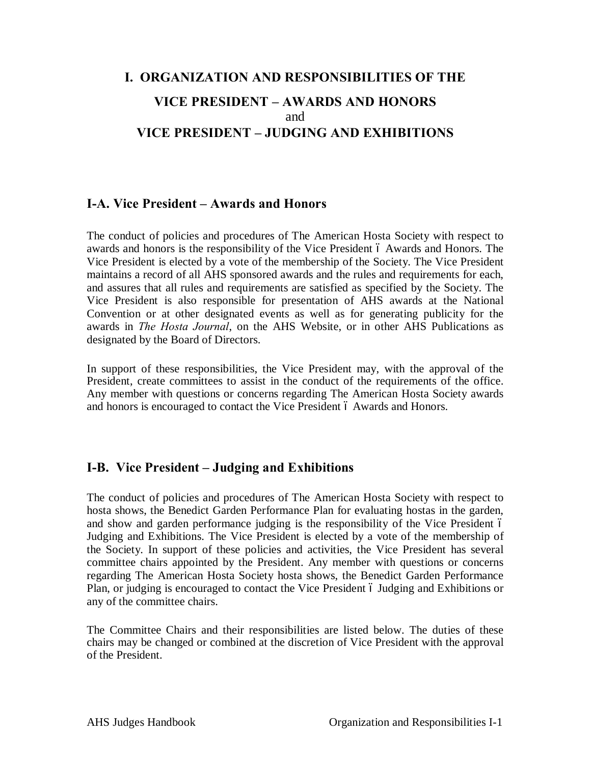# **I. ORGANIZATION AND RESPONSIBILITIES OF THE VICE PRESIDENT – AWARDS AND HONORS** and **VICE PRESIDENT – JUDGING AND EXHIBITIONS**

# **I-A. Vice President – Awards and Honors**

The conduct of policies and procedures of The American Hosta Society with respect to awards and honors is the responsibility of the Vice President 6 Awards and Honors. The Vice President is elected by a vote of the membership of the Society. The Vice President maintains a record of all AHS sponsored awards and the rules and requirements for each, and assures that all rules and requirements are satisfied as specified by the Society. The Vice President is also responsible for presentation of AHS awards at the National Convention or at other designated events as well as for generating publicity for the awards in *The Hosta Journal*, on the AHS Website, or in other AHS Publications as designated by the Board of Directors.

In support of these responsibilities, the Vice President may, with the approval of the President, create committees to assist in the conduct of the requirements of the office. Any member with questions or concerns regarding The American Hosta Society awards and honors is encouraged to contact the Vice President 6 Awards and Honors.

# **I-B. Vice President – Judging and Exhibitions**

The conduct of policies and procedures of The American Hosta Society with respect to hosta shows, the Benedict Garden Performance Plan for evaluating hostas in the garden, and show and garden performance judging is the responsibility of the Vice President 6 Judging and Exhibitions. The Vice President is elected by a vote of the membership of the Society. In support of these policies and activities, the Vice President has several committee chairs appointed by the President. Any member with questions or concerns regarding The American Hosta Society hosta shows, the Benedict Garden Performance Plan, or judging is encouraged to contact the Vice President 6 Judging and Exhibitions or any of the committee chairs.

The Committee Chairs and their responsibilities are listed below. The duties of these chairs may be changed or combined at the discretion of Vice President with the approval of the President.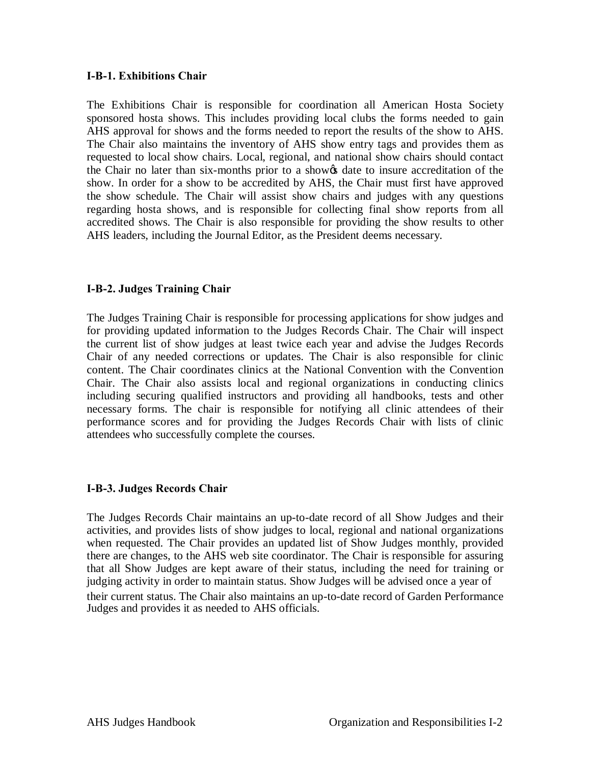#### **I-B-1. Exhibitions Chair**

The Exhibitions Chair is responsible for coordination all American Hosta Society sponsored hosta shows. This includes providing local clubs the forms needed to gain AHS approval for shows and the forms needed to report the results of the show to AHS. The Chair also maintains the inventory of AHS show entry tags and provides them as requested to local show chairs. Local, regional, and national show chairs should contact the Chair no later than six-months prior to a show that date to insure accreditation of the show. In order for a show to be accredited by AHS, the Chair must first have approved the show schedule. The Chair will assist show chairs and judges with any questions regarding hosta shows, and is responsible for collecting final show reports from all accredited shows. The Chair is also responsible for providing the show results to other AHS leaders, including the Journal Editor, as the President deems necessary.

# **I-B-2. Judges Training Chair**

The Judges Training Chair is responsible for processing applications for show judges and for providing updated information to the Judges Records Chair. The Chair will inspect the current list of show judges at least twice each year and advise the Judges Records Chair of any needed corrections or updates. The Chair is also responsible for clinic content. The Chair coordinates clinics at the National Convention with the Convention Chair. The Chair also assists local and regional organizations in conducting clinics including securing qualified instructors and providing all handbooks, tests and other necessary forms. The chair is responsible for notifying all clinic attendees of their performance scores and for providing the Judges Records Chair with lists of clinic attendees who successfully complete the courses.

## **I-B-3. Judges Records Chair**

The Judges Records Chair maintains an up-to-date record of all Show Judges and their activities, and provides lists of show judges to local, regional and national organizations when requested. The Chair provides an updated list of Show Judges monthly, provided there are changes, to the AHS web site coordinator. The Chair is responsible for assuring that all Show Judges are kept aware of their status, including the need for training or judging activity in order to maintain status. Show Judges will be advised once a year of their current status. The Chair also maintains an up-to-date record of Garden Performance Judges and provides it as needed to AHS officials.